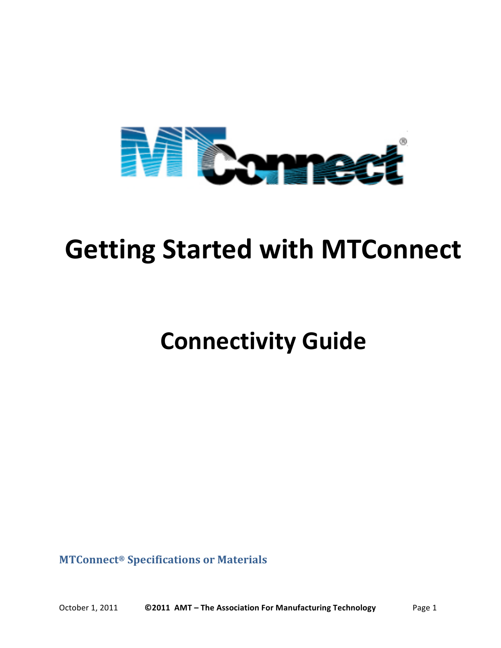

# **Getting Started with MTConnect**

# **Connectivity!Guide**

**MTConnect® Specifications\*or\*Materials**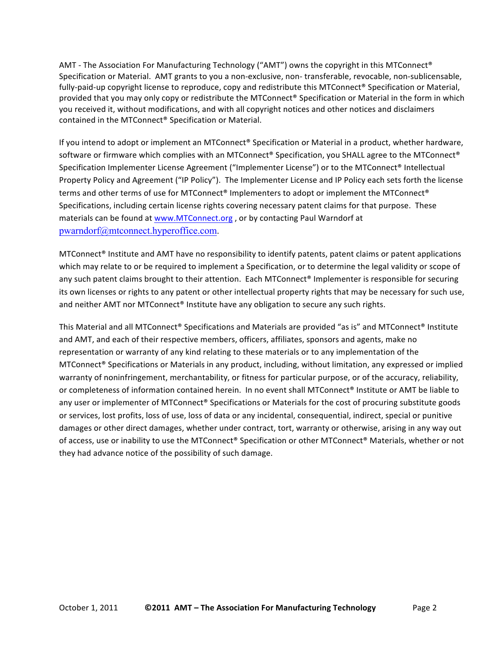AMT - The Association For Manufacturing Technology ("AMT") owns the copyright in this MTConnect® Specification or Material. AMT grants to you a non-exclusive, non-transferable, revocable, non-sublicensable, fully-paid-up copyright license to reproduce, copy and redistribute this MTConnect® Specification or Material, provided that you may only copy or redistribute the MTConnect® Specification or Material in the form in which you received it, without modifications, and with all copyright notices and other notices and disclaimers contained in the MTConnect® Specification or Material.

If you intend to adopt or implement an MTConnect® Specification or Material in a product, whether hardware, software or firmware which complies with an MTConnect® Specification, you SHALL agree to the MTConnect® Specification Implementer License Agreement ("Implementer License") or to the MTConnect® Intellectual Property Policy and Agreement ("IP Policy"). The Implementer License and IP Policy each sets forth the license terms and other terms of use for MTConnect® Implementers to adopt or implement the MTConnect® Specifications, including certain license rights covering necessary patent claims for that purpose. These materials can be found at www.MTConnect.org, or by contacting Paul Warndorf at pwarndorf@mtconnect.hyperoffice.com.

MTConnect® Institute and AMT have no responsibility to identify patents, patent claims or patent applications which may relate to or be required to implement a Specification, or to determine the legal validity or scope of any such patent claims brought to their attention. Each MTConnect® Implementer is responsible for securing its own licenses or rights to any patent or other intellectual property rights that may be necessary for such use, and neither AMT nor MTConnect® Institute have any obligation to secure any such rights.

This Material and all MTConnect® Specifications and Materials are provided "as is" and MTConnect® Institute and AMT, and each of their respective members, officers, affiliates, sponsors and agents, make no representation or warranty of any kind relating to these materials or to any implementation of the MTConnect® Specifications or Materials in any product, including, without limitation, any expressed or implied warranty of noninfringement, merchantability, or fitness for particular purpose, or of the accuracy, reliability, or completeness of information contained herein. In no event shall MTConnect® Institute or AMT be liable to any user or implementer of MTConnect® Specifications or Materials for the cost of procuring substitute goods or services, lost profits, loss of use, loss of data or any incidental, consequential, indirect, special or punitive damages or other direct damages, whether under contract, tort, warranty or otherwise, arising in any way out of access, use or inability to use the MTConnect® Specification or other MTConnect® Materials, whether or not they had advance notice of the possibility of such damage.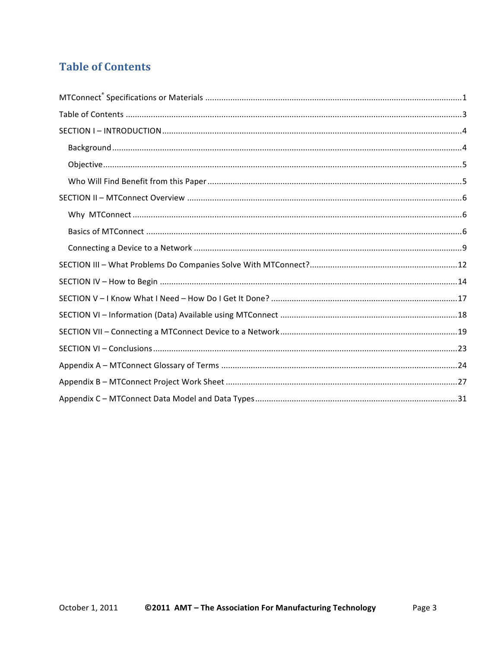## **Table of Contents**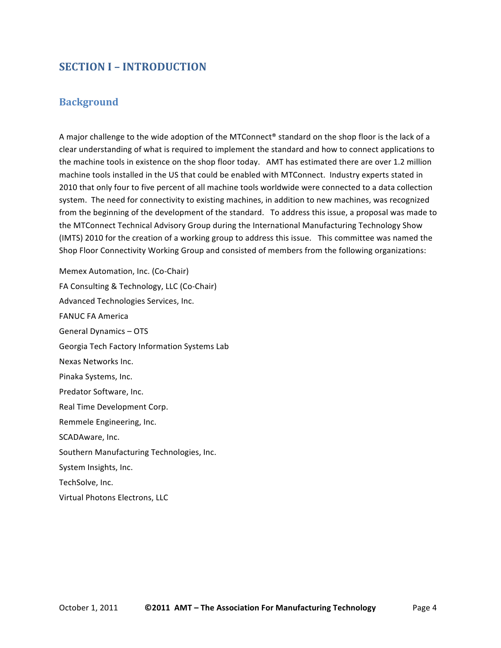## **SECTION I – INTRODUCTION**

#### **Background**

A major challenge to the wide adoption of the MTConnect® standard on the shop floor is the lack of a clear understanding of what is required to implement the standard and how to connect applications to the machine tools in existence on the shop floor today. (AMT has estimated there are over 1.2 million machine tools installed in the US that could be enabled with MTConnect. Industry experts stated in 2010 that only four to five percent of all machine tools worldwide were connected to a data collection system. The need for connectivity to existing machines, in addition to new machines, was recognized from the beginning of the development of the standard. To address this issue, a proposal was made to the MTConnect Technical Advisory Group during the International Manufacturing Technology Show (IMTS) 2010 for the creation of a working group to address this issue. This committee was named the Shop Floor Connectivity Working Group and consisted of members from the following organizations:

Memex Automation, Inc. (Co-Chair) FA Consulting & Technology, LLC (Co-Chair) Advanced Technologies Services, Inc. **FANUC FA America** General Dynamics - OTS Georgia Tech Factory Information Systems Lab Nexas Networks Inc. Pinaka Systems, Inc. Predator Software, Inc. Real Time Development Corp. Remmele Engineering, Inc. SCADAware, Inc. Southern Manufacturing Technologies, Inc. System Insights, Inc. TechSolve, Inc. Virtual Photons Electrons, LLC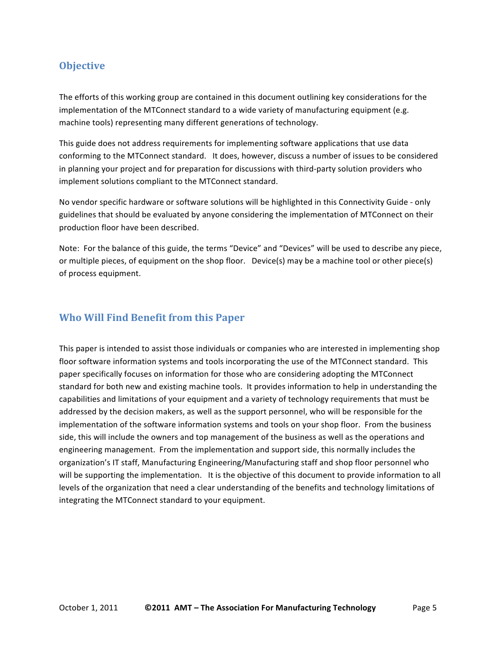## **Objective**

The efforts of this working group are contained in this document outlining key considerations for the implementation of the MTConnect standard to a wide variety of manufacturing equipment (e.g. machine tools) representing many different generations of technology.

This guide does not address requirements for implementing software applications that use data conforming to the MTConnect standard. It does, however, discuss a number of issues to be considered in planning your project and for preparation for discussions with third-party solution providers who implement solutions compliant to the MTConnect standard.

No vendor specific hardware or software solutions will be highlighted in this Connectivity Guide - only guidelines that should be evaluated by anyone considering the implementation of MTConnect on their production floor have been described.

Note: For the balance of this guide, the terms "Device" and "Devices" will be used to describe any piece, or multiple pieces, of equipment on the shop floor. Device(s) may be a machine tool or other piece(s) of process equipment.

### **Who Will Find Benefit from this Paper**

This paper is intended to assist those individuals or companies who are interested in implementing shop floor software information systems and tools incorporating the use of the MTConnect standard. This paper specifically focuses on information for those who are considering adopting the MTConnect standard for both new and existing machine tools. It provides information to help in understanding the capabilities and limitations of your equipment and a variety of technology requirements that must be addressed by the decision makers, as well as the support personnel, who will be responsible for the implementation of the software information systems and tools on your shop floor. From the business side, this will include the owners and top management of the business as well as the operations and engineering management. From the implementation and support side, this normally includes the organization's IT staff, Manufacturing Engineering/Manufacturing staff and shop floor personnel who will be supporting the implementation. It is the objective of this document to provide information to all levels of the organization that need a clear understanding of the benefits and technology limitations of integrating the MTConnect standard to your equipment.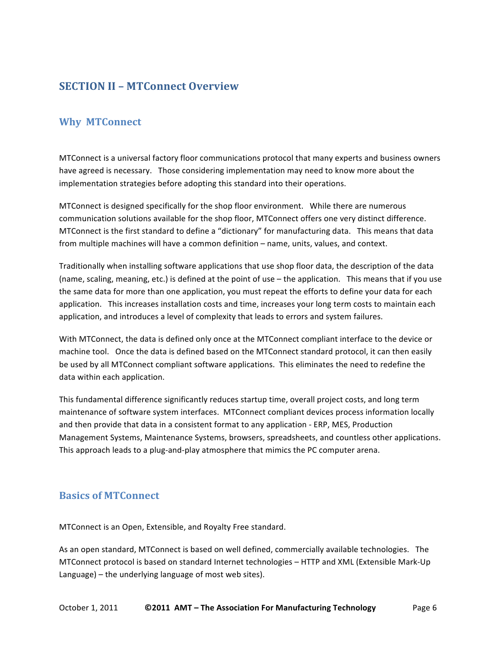## **SECTION\*II – MTConnect\*Overview**

## **Why MTConnect**

MTConnect is a universal factory floor communications protocol that many experts and business owners have agreed is necessary. Those considering implementation may need to know more about the implementation strategies before adopting this standard into their operations.

MTConnect is designed specifically for the shop floor environment. While there are numerous communication solutions available for the shop floor, MTConnect offers one very distinct difference. MTConnect is the first standard to define a "dictionary" for manufacturing data. This means that data from multiple machines will have a common definition – name, units, values, and context.

Traditionally when installing software applications that use shop floor data, the description of the data (name, scaling, meaning, etc.) is defined at the point of use – the application. This means that if you use the same data for more than one application, you must repeat the efforts to define your data for each application. This increases installation costs and time, increases your long term costs to maintain each application, and introduces a level of complexity that leads to errors and system failures.

With MTConnect, the data is defined only once at the MTConnect compliant interface to the device or machine tool. Once the data is defined based on the MTConnect standard protocol, it can then easily be used by all MTConnect compliant software applications. This eliminates the need to redefine the data within each application.

This fundamental difference significantly reduces startup time, overall project costs, and long term maintenance of software system interfaces. MTConnect compliant devices process information locally and then provide that data in a consistent format to any application - ERP, MES, Production Management Systems, Maintenance Systems, browsers, spreadsheets, and countless other applications. This approach leads to a plug-and-play atmosphere that mimics the PC computer arena.

## **Basics of MTConnect**

MTConnect is an Open, Extensible, and Royalty Free standard.

As an open standard, MTConnect is based on well defined, commercially available technologies. The MTConnect protocol is based on standard Internet technologies - HTTP and XML (Extensible Mark-Up Language) – the underlying language of most web sites).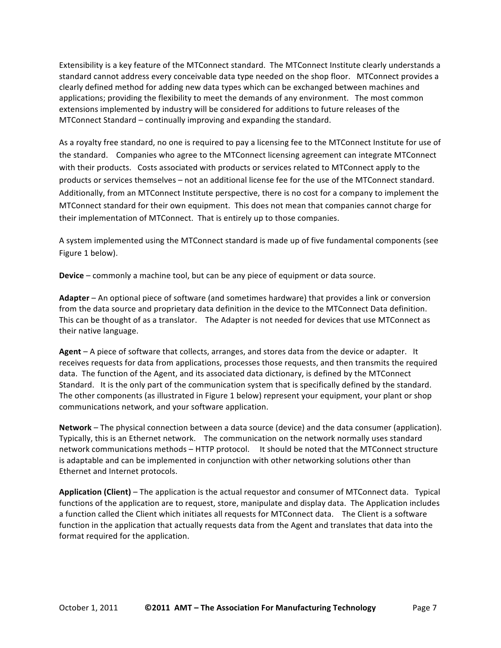Extensibility is a key feature of the MTConnect standard. The MTConnect Institute clearly understands a standard cannot address every conceivable data type needed on the shop floor. MTConnect provides a clearly defined method for adding new data types which can be exchanged between machines and applications; providing the flexibility to meet the demands of any environment. The most common extensions implemented by industry will be considered for additions to future releases of the MTConnect Standard – continually improving and expanding the standard.

As a royalty free standard, no one is required to pay a licensing fee to the MTConnect Institute for use of the standard. Companies who agree to the MTConnect licensing agreement can integrate MTConnect with their products. Costs associated with products or services related to MTConnect apply to the products or services themselves – not an additional license fee for the use of the MTConnect standard. Additionally, from an MTConnect Institute perspective, there is no cost for a company to implement the MTConnect standard for their own equipment. This does not mean that companies cannot charge for their implementation of MTConnect. That is entirely up to those companies.

A system implemented using the MTConnect standard is made up of five fundamental components (see Figure 1 below).

**Device** – commonly a machine tool, but can be any piece of equipment or data source.

**Adapter** – An optional piece of software (and sometimes hardware) that provides a link or conversion from the data source and proprietary data definition in the device to the MTConnect Data definition. This can be thought of as a translator. The Adapter is not needed for devices that use MTConnect as their native language.

**Agent** – A piece of software that collects, arranges, and stores data from the device or adapter. It receives requests for data from applications, processes those requests, and then transmits the required data. The function of the Agent, and its associated data dictionary, is defined by the MTConnect Standard. It is the only part of the communication system that is specifically defined by the standard. The other components (as illustrated in Figure 1 below) represent your equipment, your plant or shop communications network, and your software application.

Network – The physical connection between a data source (device) and the data consumer (application). Typically, this is an Ethernet network. The communication on the network normally uses standard network communications methods – HTTP protocol. It should be noted that the MTConnect structure is adaptable and can be implemented in conjunction with other networking solutions other than Ethernet and Internet protocols.

**Application (Client)** – The application is the actual requestor and consumer of MTConnect data. Typical functions of the application are to request, store, manipulate and display data. The Application includes a function called the Client which initiates all requests for MTConnect data. The Client is a software function in the application that actually requests data from the Agent and translates that data into the format required for the application.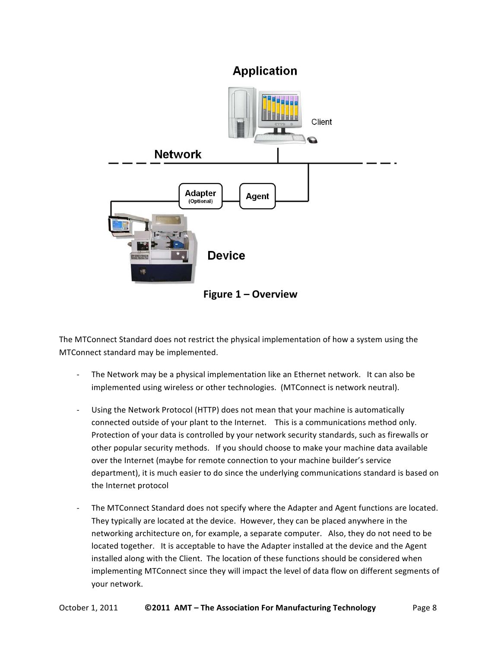## **Application**



**Figure 1 – Overview** 

The MTConnect Standard does not restrict the physical implementation of how a system using the MTConnect standard may be implemented.

- The Network may be a physical implementation like an Ethernet network. It can also be implemented using wireless or other technologies. (MTConnect is network neutral).
- Using the Network Protocol (HTTP) does not mean that your machine is automatically connected outside of your plant to the Internet. This is a communications method only. Protection of your data is controlled by your network security standards, such as firewalls or other popular security methods. If you should choose to make your machine data available over the Internet (maybe for remote connection to your machine builder's service department), it is much easier to do since the underlying communications standard is based on the Internet protocol
- The MTConnect Standard does not specify where the Adapter and Agent functions are located. They typically are located at the device. However, they can be placed anywhere in the networking architecture on, for example, a separate computer. Also, they do not need to be located together. It is acceptable to have the Adapter installed at the device and the Agent installed along with the Client. The location of these functions should be considered when implementing MTConnect since they will impact the level of data flow on different segments of your network.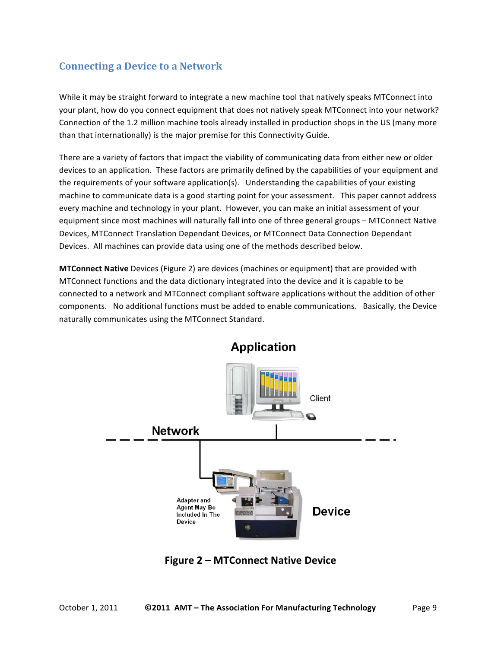## **Connecting a Device to a Network**

While it may be straight forward to integrate a new machine tool that natively speaks MTConnect into your plant, how do you connect equipment that does not natively speak MTConnect into your network? Connection of the 1.2 million machine tools already installed in production shops in the US (many more than that internationally) is the major premise for this Connectivity Guide.

There are a variety of factors that impact the viability of communicating data from either new or older devices to an application. These factors are primarily defined by the capabilities of your equipment and the requirements of your software application(s). Understanding the capabilities of your existing machine to communicate data is a good starting point for your assessment. This paper cannot address every machine and technology in your plant. However, you can make an initial assessment of your equipment since most machines will naturally fall into one of three general groups - MTConnect Native Devices, MTConnect Translation Dependant Devices, or MTConnect Data Connection Dependant Devices. All machines can provide data using one of the methods described below.

**MTConnect Native** Devices (Figure 2) are devices (machines or equipment) that are provided with MTConnect functions and the data dictionary integrated into the device and it is capable to be connected to a network and MTConnect compliant software applications without the addition of other components. No additional functions must be added to enable communications. Basically, the Device naturally communicates using the MTConnect Standard.



**Application** 

**Figure 2 – MTConnect Native Device**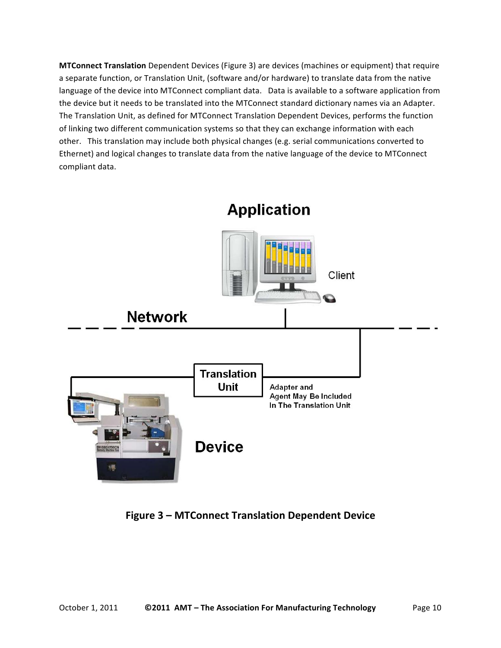**MTConnect Translation** Dependent Devices (Figure 3) are devices (machines or equipment) that require a separate function, or Translation Unit, (software and/or hardware) to translate data from the native language of the device into MTConnect compliant data. Data is available to a software application from the device but it needs to be translated into the MTConnect standard dictionary names via an Adapter. The Translation Unit, as defined for MTConnect Translation Dependent Devices, performs the function of linking two different communication systems so that they can exchange information with each other. This translation may include both physical changes (e.g. serial communications converted to Ethernet) and logical changes to translate data from the native language of the device to MTConnect compliant data.

![](_page_9_Figure_1.jpeg)

**Figure 3 – MTConnect Translation Dependent Device**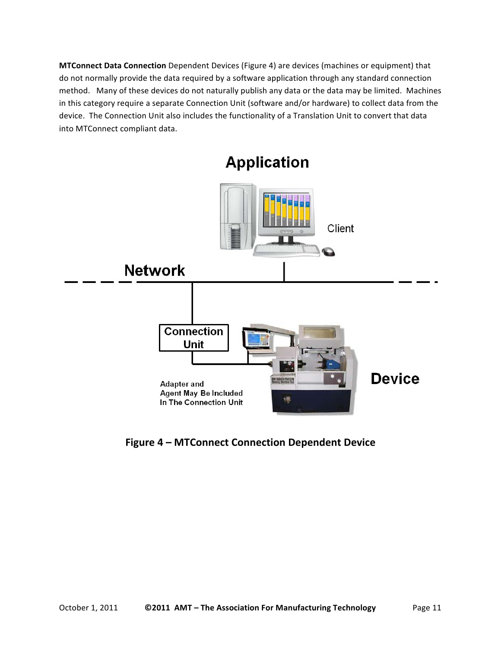**MTConnect Data Connection** Dependent Devices (Figure 4) are devices (machines or equipment) that do not normally provide the data required by a software application through any standard connection method. Many of these devices do not naturally publish any data or the data may be limited. Machines in this category require a separate Connection Unit (software and/or hardware) to collect data from the device. The Connection Unit also includes the functionality of a Translation Unit to convert that data into MTConnect compliant data.

![](_page_10_Figure_1.jpeg)

**Application** 

**Figure 4 – MTConnect Connection Dependent Device**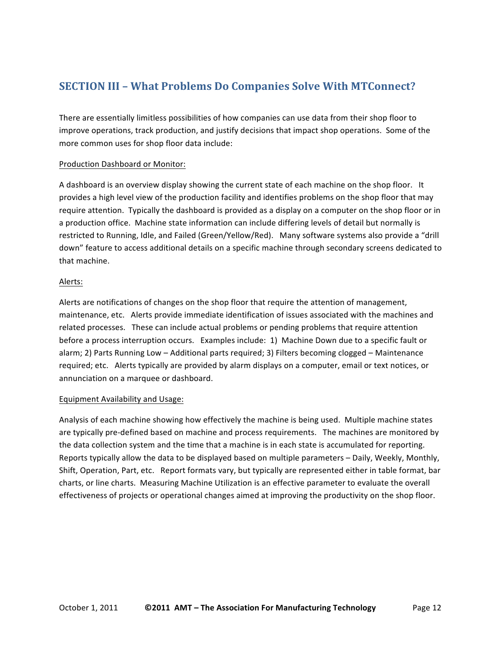## **SECTION III - What Problems Do Companies Solve With MTConnect?**

There are essentially limitless possibilities of how companies can use data from their shop floor to improve operations, track production, and justify decisions that impact shop operations. Some of the more common uses for shop floor data include:

#### Production Dashboard or Monitor:

A dashboard is an overview display showing the current state of each machine on the shop floor. It provides a high level view of the production facility and identifies problems on the shop floor that may require attention. Typically the dashboard is provided as a display on a computer on the shop floor or in a production office. Machine state information can include differing levels of detail but normally is restricted to Running, Idle, and Failed (Green/Yellow/Red). Many software systems also provide a "drill down" feature to access additional details on a specific machine through secondary screens dedicated to that machine.

#### Alerts:

Alerts are notifications of changes on the shop floor that require the attention of management, maintenance, etc. Alerts provide immediate identification of issues associated with the machines and related processes. These can include actual problems or pending problems that require attention before a process interruption occurs. Examples include: 1) Machine Down due to a specific fault or alarm; 2) Parts Running Low – Additional parts required; 3) Filters becoming clogged – Maintenance required; etc. Alerts typically are provided by alarm displays on a computer, email or text notices, or annunciation on a marquee or dashboard.

#### Equipment Availability and Usage:

Analysis of each machine showing how effectively the machine is being used. Multiple machine states are typically pre-defined based on machine and process requirements. The machines are monitored by the data collection system and the time that a machine is in each state is accumulated for reporting. Reports typically allow the data to be displayed based on multiple parameters - Daily, Weekly, Monthly, Shift, Operation, Part, etc. Report formats vary, but typically are represented either in table format, bar charts, or line charts. Measuring Machine Utilization is an effective parameter to evaluate the overall effectiveness of projects or operational changes aimed at improving the productivity on the shop floor.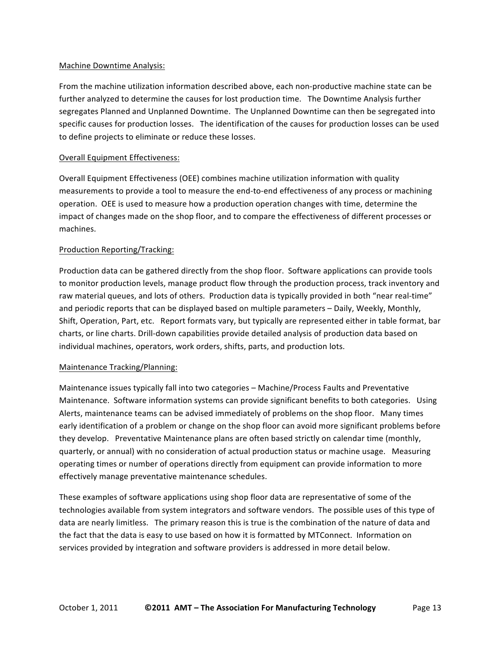#### Machine Downtime Analysis:

From the machine utilization information described above, each non-productive machine state can be further analyzed to determine the causes for lost production time. The Downtime Analysis further segregates Planned and Unplanned Downtime. The Unplanned Downtime can then be segregated into specific causes for production losses. The identification of the causes for production losses can be used to define projects to eliminate or reduce these losses.

#### Overall Equipment Effectiveness:

Overall Equipment Effectiveness (OEE) combines machine utilization information with quality measurements to provide a tool to measure the end-to-end effectiveness of any process or machining operation. OEE is used to measure how a production operation changes with time, determine the impact of changes made on the shop floor, and to compare the effectiveness of different processes or machines.

#### Production Reporting/Tracking:

Production data can be gathered directly from the shop floor. Software applications can provide tools to monitor production levels, manage product flow through the production process, track inventory and raw material queues, and lots of others. Production data is typically provided in both "near real-time" and periodic reports that can be displayed based on multiple parameters - Daily, Weekly, Monthly, Shift, Operation, Part, etc. Report formats vary, but typically are represented either in table format, bar charts, or line charts. Drill-down capabilities provide detailed analysis of production data based on individual machines, operators, work orders, shifts, parts, and production lots.

#### Maintenance Tracking/Planning:

Maintenance issues typically fall into two categories – Machine/Process Faults and Preventative Maintenance. Software information systems can provide significant benefits to both categories. Using Alerts, maintenance teams can be advised immediately of problems on the shop floor. Many times early identification of a problem or change on the shop floor can avoid more significant problems before they develop. Preventative Maintenance plans are often based strictly on calendar time (monthly, quarterly, or annual) with no consideration of actual production status or machine usage. Measuring operating times or number of operations directly from equipment can provide information to more effectively manage preventative maintenance schedules.

These examples of software applications using shop floor data are representative of some of the technologies available from system integrators and software vendors. The possible uses of this type of data are nearly limitless. The primary reason this is true is the combination of the nature of data and the fact that the data is easy to use based on how it is formatted by MTConnect. Information on services provided by integration and software providers is addressed in more detail below.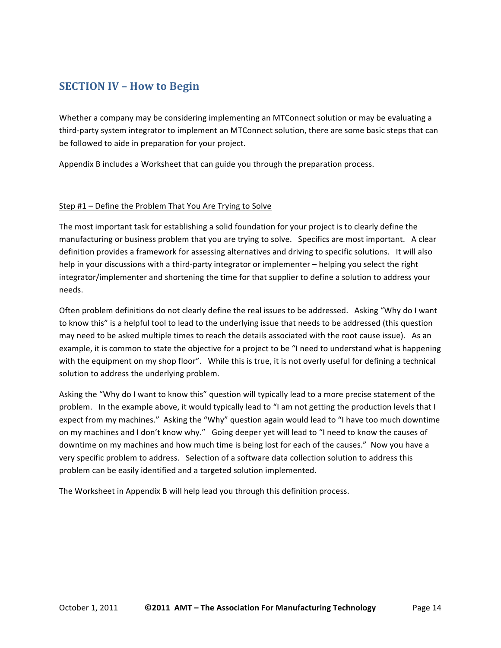## **SECTION IV – How to Begin**

Whether a company may be considering implementing an MTConnect solution or may be evaluating a third-party system integrator to implement an MTConnect solution, there are some basic steps that can be followed to aide in preparation for your project.

Appendix B includes a Worksheet that can guide you through the preparation process.

#### Step #1 – Define the Problem That You Are Trying to Solve

The most important task for establishing a solid foundation for your project is to clearly define the manufacturing or business problem that you are trying to solve. Specifics are most important. A clear definition provides a framework for assessing alternatives and driving to specific solutions. It will also help in your discussions with a third-party integrator or implementer – helping you select the right integrator/implementer and shortening the time for that supplier to define a solution to address your needs.

Often problem definitions do not clearly define the real issues to be addressed. Asking "Why do I want to know this" is a helpful tool to lead to the underlying issue that needs to be addressed (this question may need to be asked multiple times to reach the details associated with the root cause issue). As an example, it is common to state the objective for a project to be "I need to understand what is happening with the equipment on my shop floor". While this is true, it is not overly useful for defining a technical solution to address the underlying problem.

Asking the "Why do I want to know this" question will typically lead to a more precise statement of the problem. In the example above, it would typically lead to "I am not getting the production levels that I expect from my machines." Asking the "Why" question again would lead to "I have too much downtime on my machines and I don't know why." Going deeper yet will lead to "I need to know the causes of downtime on my machines and how much time is being lost for each of the causes." Now you have a very specific problem to address. Selection of a software data collection solution to address this problem can be easily identified and a targeted solution implemented.

The Worksheet in Appendix B will help lead you through this definition process.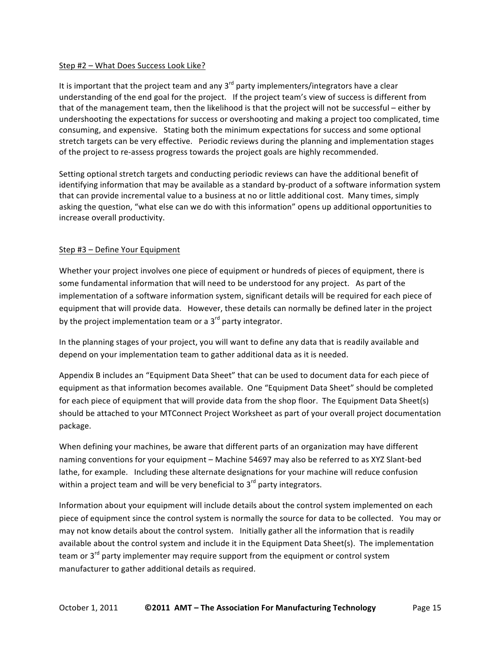#### Step #2 – What Does Success Look Like?

It is important that the project team and any  $3<sup>rd</sup>$  party implementers/integrators have a clear understanding of the end goal for the project. If the project team's view of success is different from that of the management team, then the likelihood is that the project will not be successful – either by undershooting the expectations for success or overshooting and making a project too complicated, time consuming, and expensive. Stating both the minimum expectations for success and some optional stretch targets can be very effective. Periodic reviews during the planning and implementation stages of the project to re-assess progress towards the project goals are highly recommended.

Setting optional stretch targets and conducting periodic reviews can have the additional benefit of identifying information that may be available as a standard by-product of a software information system that can provide incremental value to a business at no or little additional cost. Many times, simply asking the question, "what else can we do with this information" opens up additional opportunities to increase overall productivity.

#### Step #3 – Define Your Equipment

Whether your project involves one piece of equipment or hundreds of pieces of equipment, there is some fundamental information that will need to be understood for any project. As part of the implementation of a software information system, significant details will be required for each piece of equipment that will provide data. However, these details can normally be defined later in the project by the project implementation team or a  $3<sup>rd</sup>$  party integrator.

In the planning stages of your project, you will want to define any data that is readily available and depend on your implementation team to gather additional data as it is needed.

Appendix B includes an "Equipment Data Sheet" that can be used to document data for each piece of equipment as that information becomes available. One "Equipment Data Sheet" should be completed for each piece of equipment that will provide data from the shop floor. The Equipment Data Sheet(s) should be attached to your MTConnect Project Worksheet as part of your overall project documentation package.

When defining your machines, be aware that different parts of an organization may have different naming conventions for your equipment – Machine 54697 may also be referred to as XYZ Slant-bed lathe, for example. Including these alternate designations for your machine will reduce confusion within a project team and will be very beneficial to  $3<sup>rd</sup>$  party integrators.

Information about your equipment will include details about the control system implemented on each piece of equipment since the control system is normally the source for data to be collected. You may or may not know details about the control system. Initially gather all the information that is readily available about the control system and include it in the Equipment Data Sheet(s). The implementation team or  $3<sup>rd</sup>$  party implementer may require support from the equipment or control system manufacturer to gather additional details as required.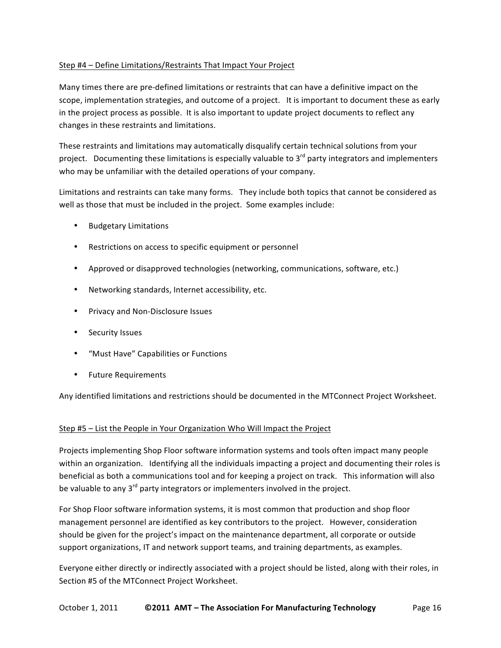#### Step #4 – Define Limitations/Restraints That Impact Your Project

Many times there are pre-defined limitations or restraints that can have a definitive impact on the scope, implementation strategies, and outcome of a project. It is important to document these as early in the project process as possible. It is also important to update project documents to reflect any changes in these restraints and limitations.

These restraints and limitations may automatically disqualify certain technical solutions from your project. Documenting these limitations is especially valuable to  $3<sup>rd</sup>$  party integrators and implementers who may be unfamiliar with the detailed operations of your company.

Limitations and restraints can take many forms. They include both topics that cannot be considered as well as those that must be included in the project. Some examples include:

- **Budgetary Limitations**
- Restrictions on access to specific equipment or personnel
- Approved or disapproved technologies (networking, communications, software, etc.)
- Networking standards, Internet accessibility, etc.
- Privacy and Non-Disclosure Issues
- Security Issues
- "Must Have" Capabilities or Functions
- Future Requirements

Any identified limitations and restrictions should be documented in the MTConnect Project Worksheet.

#### Step #5 – List the People in Your Organization Who Will Impact the Project

Projects implementing Shop Floor software information systems and tools often impact many people within an organization. Identifying all the individuals impacting a project and documenting their roles is beneficial as both a communications tool and for keeping a project on track. This information will also be valuable to any  $3^{rd}$  party integrators or implementers involved in the project.

For Shop Floor software information systems, it is most common that production and shop floor management personnel are identified as key contributors to the project. However, consideration should be given for the project's impact on the maintenance department, all corporate or outside support organizations, IT and network support teams, and training departments, as examples.

Everyone either directly or indirectly associated with a project should be listed, along with their roles, in Section #5 of the MTConnect Project Worksheet.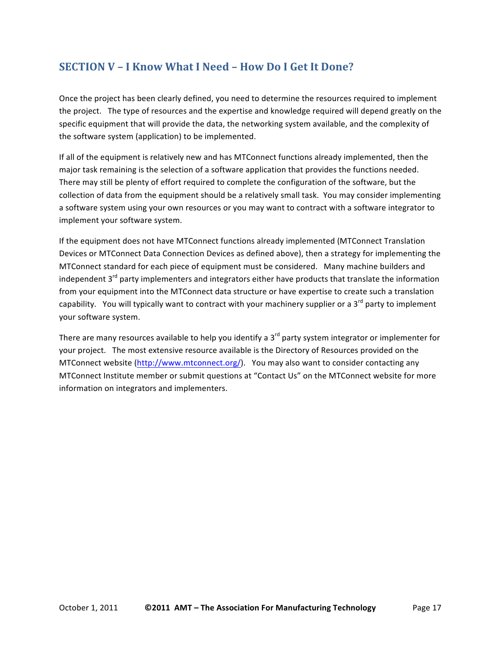## **SECTION V – I Know What I Need – How Do I Get It Done?**

Once the project has been clearly defined, you need to determine the resources required to implement the project. The type of resources and the expertise and knowledge required will depend greatly on the specific equipment that will provide the data, the networking system available, and the complexity of the software system (application) to be implemented.

If all of the equipment is relatively new and has MTConnect functions already implemented, then the major task remaining is the selection of a software application that provides the functions needed. There may still be plenty of effort required to complete the configuration of the software, but the collection of data from the equipment should be a relatively small task. You may consider implementing a software system using your own resources or you may want to contract with a software integrator to implement your software system.

If the equipment does not have MTConnect functions already implemented (MTConnect Translation) Devices or MTConnect Data Connection Devices as defined above), then a strategy for implementing the MTConnect standard for each piece of equipment must be considered. Many machine builders and independent  $3^{rd}$  party implementers and integrators either have products that translate the information from your equipment into the MTConnect data structure or have expertise to create such a translation capability. You will typically want to contract with your machinery supplier or a 3<sup>rd</sup> party to implement your software system.

There are many resources available to help you identify a 3<sup>rd</sup> party system integrator or implementer for your project. The most extensive resource available is the Directory of Resources provided on the MTConnect website (http://www.mtconnect.org/). You may also want to consider contacting any MTConnect Institute member or submit questions at "Contact Us" on the MTConnect website for more information on integrators and implementers.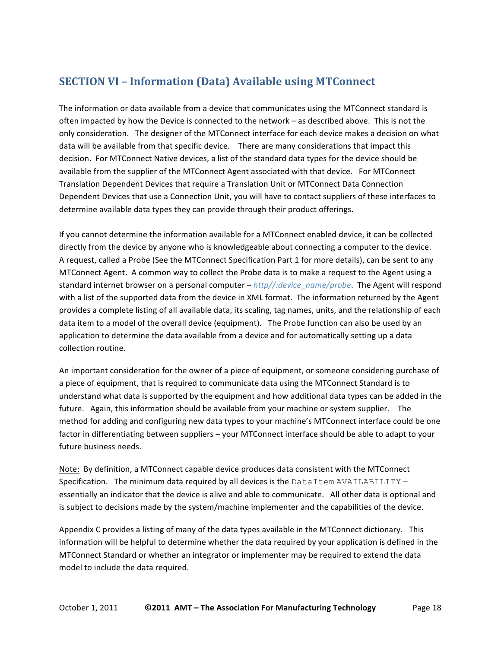## **SECTION VI - Information (Data) Available using MTConnect**

The information or data available from a device that communicates using the MTConnect standard is often impacted by how the Device is connected to the network – as described above. This is not the only consideration. The designer of the MTConnect interface for each device makes a decision on what data will be available from that specific device. There are many considerations that impact this decision. For MTConnect Native devices, a list of the standard data types for the device should be available from the supplier of the MTConnect Agent associated with that device. For MTConnect Translation Dependent Devices that require a Translation Unit or MTConnect Data Connection Dependent Devices that use a Connection Unit, you will have to contact suppliers of these interfaces to determine available data types they can provide through their product offerings.

If you cannot determine the information available for a MTConnect enabled device, it can be collected directly from the device by anyone who is knowledgeable about connecting a computer to the device. A request, called a Probe (See the MTConnect Specification Part 1 for more details), can be sent to any MTConnect Agent. A common way to collect the Probe data is to make a request to the Agent using a standard internet browser on a personal computer – *http//:device\_name/probe*. The Agent will respond with a list of the supported data from the device in XML format. The information returned by the Agent provides a complete listing of all available data, its scaling, tag names, units, and the relationship of each data item to a model of the overall device (equipment). The Probe function can also be used by an application to determine the data available from a device and for automatically setting up a data collection routine.

An important consideration for the owner of a piece of equipment, or someone considering purchase of a piece of equipment, that is required to communicate data using the MTConnect Standard is to understand what data is supported by the equipment and how additional data types can be added in the future. Again, this information should be available from your machine or system supplier. The method for adding and configuring new data types to your machine's MTConnect interface could be one factor in differentiating between suppliers – your MTConnect interface should be able to adapt to your future business needs.

Note: By definition, a MTConnect capable device produces data consistent with the MTConnect Specification. The minimum data required by all devices is the  $\texttt{DataItem}$  AVAILABILITY – essentially an indicator that the device is alive and able to communicate. All other data is optional and is subject to decisions made by the system/machine implementer and the capabilities of the device.

Appendix C provides a listing of many of the data types available in the MTConnect dictionary. This information will be helpful to determine whether the data required by your application is defined in the MTConnect Standard or whether an integrator or implementer may be required to extend the data model to include the data required.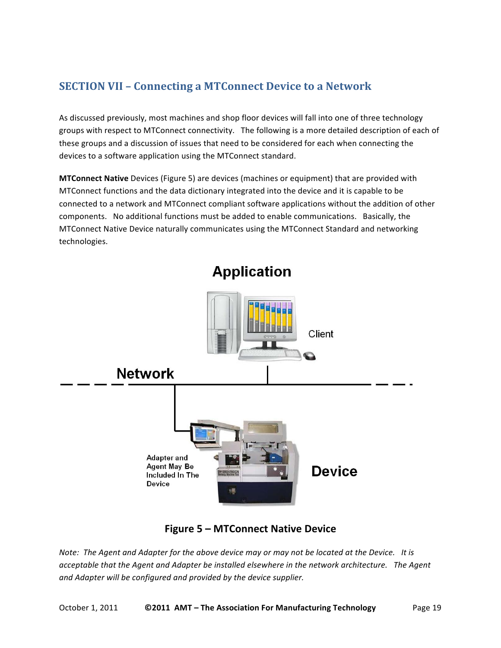## **SECTION VII - Connecting a MTConnect Device to a Network**

As discussed previously, most machines and shop floor devices will fall into one of three technology groups with respect to MTConnect connectivity. The following is a more detailed description of each of these groups and a discussion of issues that need to be considered for each when connecting the devices to a software application using the MTConnect standard.

**MTConnect Native** Devices (Figure 5) are devices (machines or equipment) that are provided with MTConnect functions and the data dictionary integrated into the device and it is capable to be connected to a network and MTConnect compliant software applications without the addition of other components. No additional functions must be added to enable communications. Basically, the MTConnect Native Device naturally communicates using the MTConnect Standard and networking technologies.

![](_page_18_Figure_3.jpeg)

## **Figure 5 – MTConnect Native Device**

*Note: The Agent and Adapter for the above device may or may not be located at the Device. It is* acceptable that the Agent and Adapter be installed elsewhere in the network architecture. The Agent and Adapter will be configured and provided by the device supplier.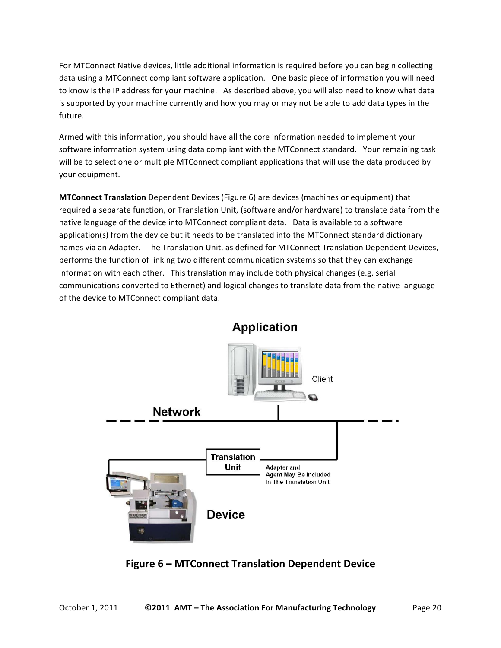For MTConnect Native devices, little additional information is required before you can begin collecting data using a MTConnect compliant software application. One basic piece of information you will need to know is the IP address for your machine. As described above, you will also need to know what data is supported by your machine currently and how you may or may not be able to add data types in the future.

Armed with this information, you should have all the core information needed to implement your software information system using data compliant with the MTConnect standard. Your remaining task will be to select one or multiple MTConnect compliant applications that will use the data produced by your equipment.

**MTConnect Translation** Dependent Devices (Figure 6) are devices (machines or equipment) that required a separate function, or Translation Unit, (software and/or hardware) to translate data from the native language of the device into MTConnect compliant data. Data is available to a software application(s) from the device but it needs to be translated into the MTConnect standard dictionary names via an Adapter. The Translation Unit, as defined for MTConnect Translation Dependent Devices, performs the function of linking two different communication systems so that they can exchange information with each other. This translation may include both physical changes (e.g. serial communications converted to Ethernet) and logical changes to translate data from the native language of the device to MTConnect compliant data.

![](_page_19_Figure_3.jpeg)

## **Application**

## **Figure 6 – MTConnect Translation Dependent Device**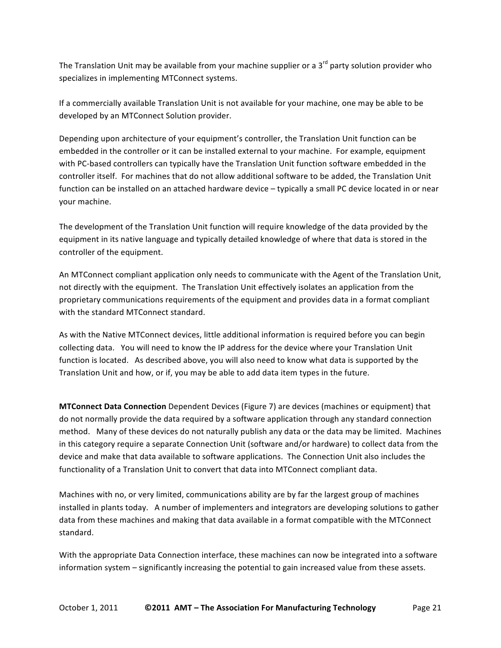The Translation Unit may be available from your machine supplier or a 3<sup>rd</sup> party solution provider who specializes in implementing MTConnect systems.

If a commercially available Translation Unit is not available for your machine, one may be able to be developed by an MTConnect Solution provider.

Depending upon architecture of your equipment's controller, the Translation Unit function can be embedded in the controller or it can be installed external to your machine. For example, equipment with PC-based controllers can typically have the Translation Unit function software embedded in the controller itself. For machines that do not allow additional software to be added, the Translation Unit function can be installed on an attached hardware device - typically a small PC device located in or near your machine.

The development of the Translation Unit function will require knowledge of the data provided by the equipment in its native language and typically detailed knowledge of where that data is stored in the controller of the equipment.

An MTConnect compliant application only needs to communicate with the Agent of the Translation Unit, not directly with the equipment. The Translation Unit effectively isolates an application from the proprietary communications requirements of the equipment and provides data in a format compliant with the standard MTConnect standard.

As with the Native MTConnect devices, little additional information is required before you can begin collecting data. You will need to know the IP address for the device where your Translation Unit function is located. As described above, you will also need to know what data is supported by the Translation Unit and how, or if, you may be able to add data item types in the future.

**MTConnect Data Connection** Dependent Devices (Figure 7) are devices (machines or equipment) that do not normally provide the data required by a software application through any standard connection method. Many of these devices do not naturally publish any data or the data may be limited. Machines in this category require a separate Connection Unit (software and/or hardware) to collect data from the device and make that data available to software applications. The Connection Unit also includes the functionality of a Translation Unit to convert that data into MTConnect compliant data.

Machines with no, or very limited, communications ability are by far the largest group of machines installed in plants today. A number of implementers and integrators are developing solutions to gather data from these machines and making that data available in a format compatible with the MTConnect standard.

With the appropriate Data Connection interface, these machines can now be integrated into a software information system – significantly increasing the potential to gain increased value from these assets.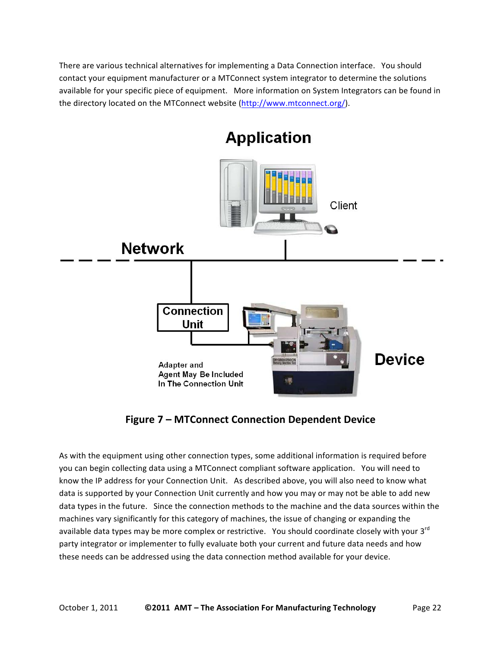There are various technical alternatives for implementing a Data Connection interface. You should contact your equipment manufacturer or a MTConnect system integrator to determine the solutions available for your specific piece of equipment. More information on System Integrators can be found in the directory located on the MTConnect website (http://www.mtconnect.org/).

![](_page_21_Figure_1.jpeg)

## **Application**

**Figure 7 – MTConnect Connection Dependent Device** 

As with the equipment using other connection types, some additional information is required before you can begin collecting data using a MTConnect compliant software application. You will need to know the IP address for your Connection Unit. As described above, you will also need to know what data is supported by your Connection Unit currently and how you may or may not be able to add new data types in the future. Since the connection methods to the machine and the data sources within the machines vary significantly for this category of machines, the issue of changing or expanding the available data types may be more complex or restrictive. You should coordinate closely with your 3<sup>rd</sup> party integrator or implementer to fully evaluate both your current and future data needs and how these needs can be addressed using the data connection method available for your device.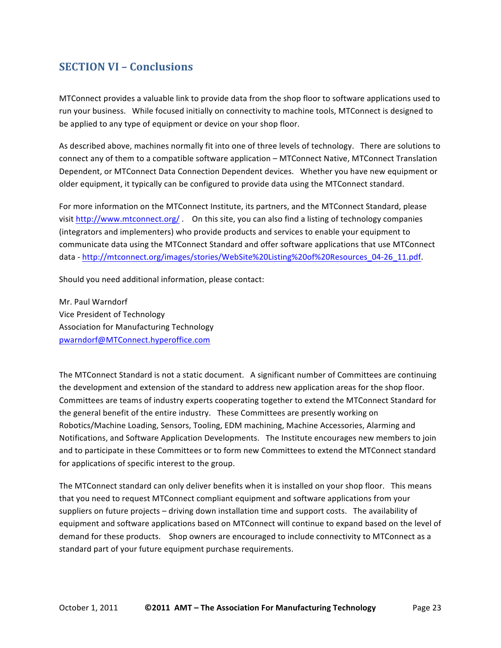## **SECTION VI – Conclusions**

MTConnect provides a valuable link to provide data from the shop floor to software applications used to run your business. While focused initially on connectivity to machine tools, MTConnect is designed to be applied to any type of equipment or device on your shop floor.

As described above, machines normally fit into one of three levels of technology. There are solutions to connect any of them to a compatible software application – MTConnect Native, MTConnect Translation Dependent, or MTConnect Data Connection Dependent devices. (Whether you have new equipment or older equipment, it typically can be configured to provide data using the MTConnect standard.

For more information on the MTConnect Institute, its partners, and the MTConnect Standard, please visit http://www.mtconnect.org/ . (On this site, you can also find a listing of technology companies (integrators and implementers) who provide products and services to enable your equipment to communicate data using the MTConnect Standard and offer software applications that use MTConnect data-http://mtconnect.org/images/stories/WebSite%20Listing%20of%20Resources\_04-26\_11.pdf.

Should you need additional information, please contact:

Mr. Paul Warndorf Vice President of Technology Association for Manufacturing Technology pwarndorf@MTConnect.hyperoffice.com

The MTConnect Standard is not a static document. A significant number of Committees are continuing the development and extension of the standard to address new application areas for the shop floor. Committees are teams of industry experts cooperating together to extend the MTConnect Standard for the general benefit of the entire industry. These Committees are presently working on Robotics/Machine Loading, Sensors, Tooling, EDM machining, Machine Accessories, Alarming and Notifications, and Software Application Developments. The Institute encourages new members to join and to participate in these Committees or to form new Committees to extend the MTConnect standard for applications of specific interest to the group.

The MTConnect standard can only deliver benefits when it is installed on your shop floor. This means that you need to request MTConnect compliant equipment and software applications from your suppliers on future projects – driving down installation time and support costs. The availability of equipment and software applications based on MTConnect will continue to expand based on the level of demand for these products. Shop owners are encouraged to include connectivity to MTConnect as a standard part of your future equipment purchase requirements.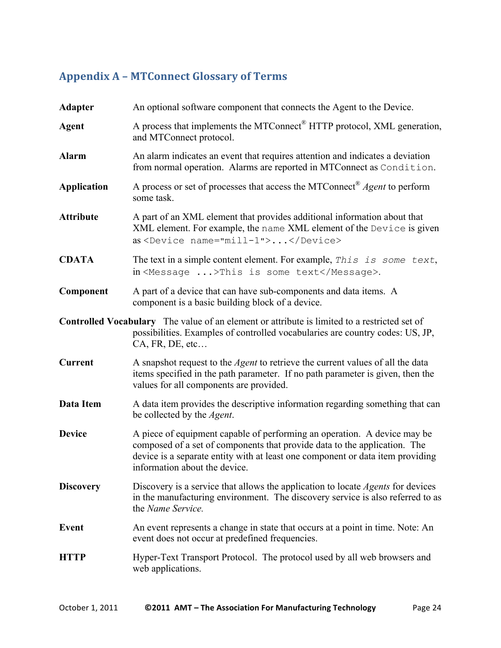## Appendix **A** – **MTConnect Glossary of Terms**

| <b>Adapter</b>                                                                                                                                                                                          | An optional software component that connects the Agent to the Device.                                                                                                                                                                                                    |  |
|---------------------------------------------------------------------------------------------------------------------------------------------------------------------------------------------------------|--------------------------------------------------------------------------------------------------------------------------------------------------------------------------------------------------------------------------------------------------------------------------|--|
| <b>Agent</b>                                                                                                                                                                                            | A process that implements the MTConnect® HTTP protocol, XML generation,<br>and MTConnect protocol.                                                                                                                                                                       |  |
| <b>Alarm</b>                                                                                                                                                                                            | An alarm indicates an event that requires attention and indicates a deviation<br>from normal operation. Alarms are reported in MTConnect as Condition.                                                                                                                   |  |
| <b>Application</b>                                                                                                                                                                                      | A process or set of processes that access the MTConnect <sup>®</sup> <i>Agent</i> to perform<br>some task.                                                                                                                                                               |  |
| <b>Attribute</b>                                                                                                                                                                                        | A part of an XML element that provides additional information about that<br>XML element. For example, the name XML element of the Device is given<br>as <device name="mill-1"></device>                                                                                  |  |
| <b>CDATA</b>                                                                                                                                                                                            | The text in a simple content element. For example, This is some text,<br>in <message>This is some text</message> .                                                                                                                                                       |  |
| Component                                                                                                                                                                                               | A part of a device that can have sub-components and data items. A<br>component is a basic building block of a device.                                                                                                                                                    |  |
| <b>Controlled Vocabulary</b> The value of an element or attribute is limited to a restricted set of<br>possibilities. Examples of controlled vocabularies are country codes: US, JP,<br>CA, FR, DE, etc |                                                                                                                                                                                                                                                                          |  |
| <b>Current</b>                                                                                                                                                                                          | A snapshot request to the <i>Agent</i> to retrieve the current values of all the data<br>items specified in the path parameter. If no path parameter is given, then the<br>values for all components are provided.                                                       |  |
| Data Item                                                                                                                                                                                               | A data item provides the descriptive information regarding something that can<br>be collected by the <i>Agent</i> .                                                                                                                                                      |  |
| <b>Device</b>                                                                                                                                                                                           | A piece of equipment capable of performing an operation. A device may be<br>composed of a set of components that provide data to the application. The<br>device is a separate entity with at least one component or data item providing<br>information about the device. |  |
| <b>Discovery</b>                                                                                                                                                                                        | Discovery is a service that allows the application to locate <i>Agents</i> for devices<br>in the manufacturing environment. The discovery service is also referred to as<br>the Name Service.                                                                            |  |
| <b>Event</b>                                                                                                                                                                                            | An event represents a change in state that occurs at a point in time. Note: An<br>event does not occur at predefined frequencies.                                                                                                                                        |  |
| <b>HTTP</b>                                                                                                                                                                                             | Hyper-Text Transport Protocol. The protocol used by all web browsers and<br>web applications.                                                                                                                                                                            |  |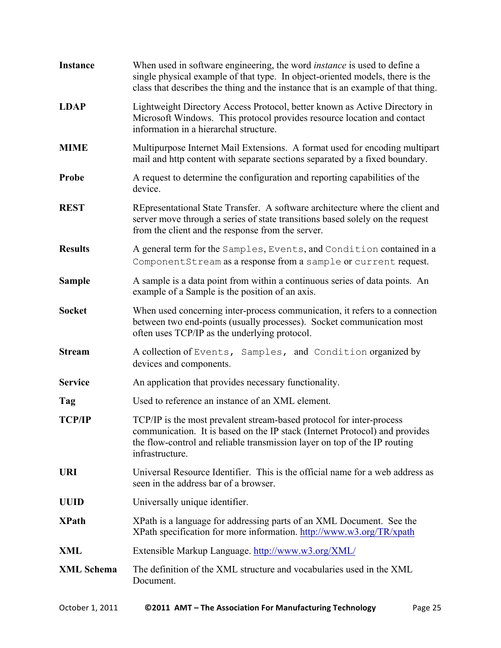| <b>Instance</b>   | When used in software engineering, the word <i>instance</i> is used to define a<br>single physical example of that type. In object-oriented models, there is the<br>class that describes the thing and the instance that is an example of that thing. |
|-------------------|-------------------------------------------------------------------------------------------------------------------------------------------------------------------------------------------------------------------------------------------------------|
| <b>LDAP</b>       | Lightweight Directory Access Protocol, better known as Active Directory in<br>Microsoft Windows. This protocol provides resource location and contact<br>information in a hierarchal structure.                                                       |
| <b>MIME</b>       | Multipurpose Internet Mail Extensions. A format used for encoding multipart<br>mail and http content with separate sections separated by a fixed boundary.                                                                                            |
| Probe             | A request to determine the configuration and reporting capabilities of the<br>device.                                                                                                                                                                 |
| <b>REST</b>       | REpresentational State Transfer. A software architecture where the client and<br>server move through a series of state transitions based solely on the request<br>from the client and the response from the server.                                   |
| <b>Results</b>    | A general term for the Samples, Events, and Condition contained in a<br>ComponentStream as a response from a sample or current request.                                                                                                               |
| <b>Sample</b>     | A sample is a data point from within a continuous series of data points. An<br>example of a Sample is the position of an axis.                                                                                                                        |
| <b>Socket</b>     | When used concerning inter-process communication, it refers to a connection<br>between two end-points (usually processes). Socket communication most<br>often uses TCP/IP as the underlying protocol.                                                 |
| <b>Stream</b>     | A collection of Events, Samples, and Condition organized by<br>devices and components.                                                                                                                                                                |
| <b>Service</b>    | An application that provides necessary functionality.                                                                                                                                                                                                 |
| Tag               | Used to reference an instance of an XML element.                                                                                                                                                                                                      |
| <b>TCP/IP</b>     | TCP/IP is the most prevalent stream-based protocol for inter-process<br>communication. It is based on the IP stack (Internet Protocol) and provides<br>the flow-control and reliable transmission layer on top of the IP routing<br>infrastructure.   |
| <b>URI</b>        | Universal Resource Identifier. This is the official name for a web address as<br>seen in the address bar of a browser.                                                                                                                                |
| <b>UUID</b>       | Universally unique identifier.                                                                                                                                                                                                                        |
| <b>XPath</b>      | XPath is a language for addressing parts of an XML Document. See the<br>XPath specification for more information. http://www.w3.org/TR/xpath                                                                                                          |
| XML               | Extensible Markup Language. http://www.w3.org/XML/                                                                                                                                                                                                    |
| <b>XML Schema</b> | The definition of the XML structure and vocabularies used in the XML<br>Document.                                                                                                                                                                     |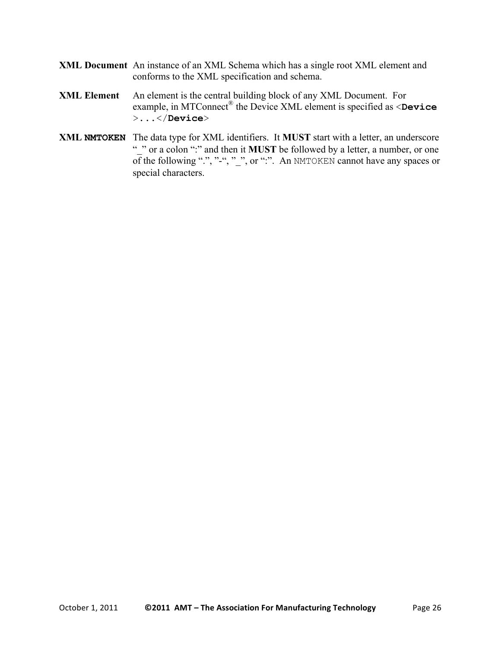- **XML Document** An instance of an XML Schema which has a single root XML element and conforms to the XML specification and schema.
- **XML Element** An element is the central building block of any XML Document. For example, in MTConnect® the Device XML element is specified as <**Device** >...</**Device**>
- **XML NMTOKEN** The data type for XML identifiers. It **MUST** start with a letter, an underscore " " or a colon ":" and then it **MUST** be followed by a letter, a number, or one of the following ".", " $-$ ", ", ", or ":". An NMTOKEN cannot have any spaces or special characters.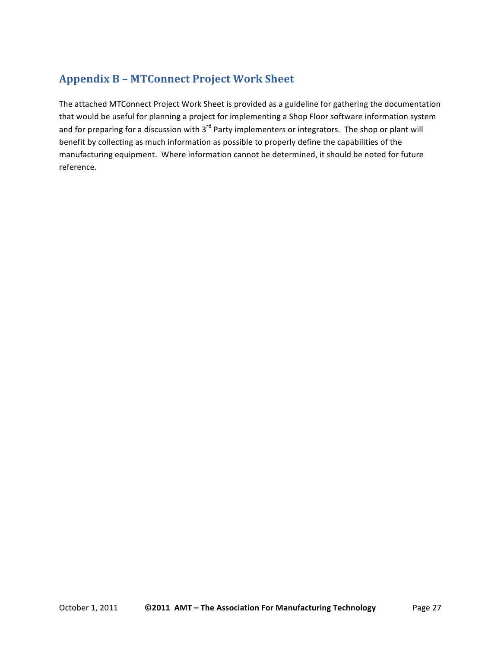## **Appendix B - MTConnect Project Work Sheet**

The attached MTConnect Project Work Sheet is provided as a guideline for gathering the documentation that would be useful for planning a project for implementing a Shop Floor software information system and for preparing for a discussion with 3<sup>rd</sup> Party implementers or integrators. The shop or plant will benefit by collecting as much information as possible to properly define the capabilities of the manufacturing equipment. Where information cannot be determined, it should be noted for future reference.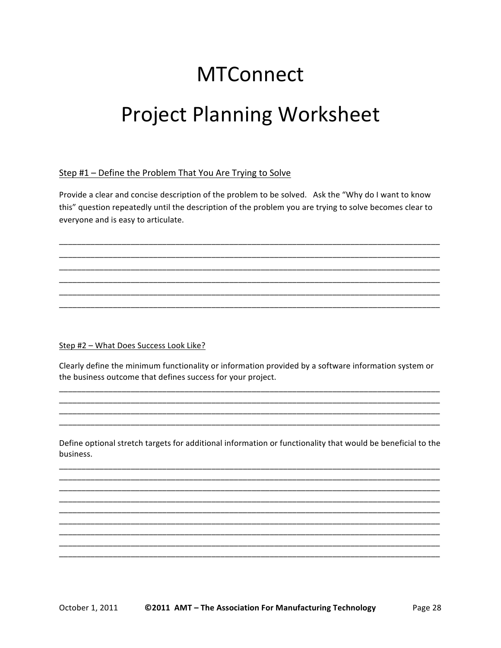# **MTConnect Project Planning Worksheet**

#### Step #1 - Define the Problem That You Are Trying to Solve

Provide a clear and concise description of the problem to be solved. Ask the "Why do I want to know this" question repeatedly until the description of the problem you are trying to solve becomes clear to everyone and is easy to articulate.

Step #2 - What Does Success Look Like?

Clearly define the minimum functionality or information provided by a software information system or the business outcome that defines success for your project.

Define optional stretch targets for additional information or functionality that would be beneficial to the business.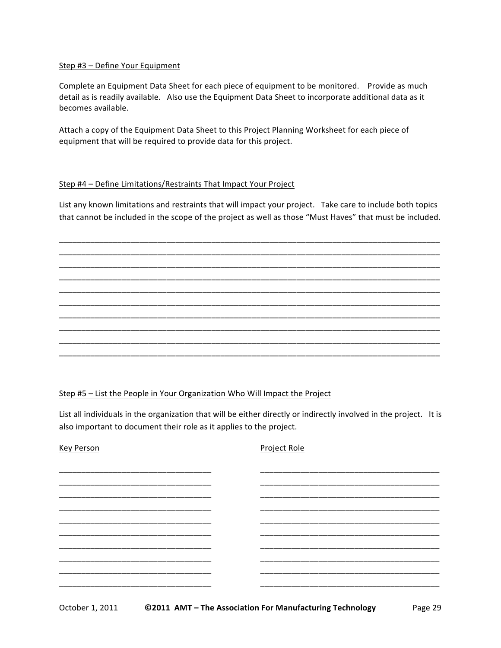#### Step #3 - Define Your Equipment

Complete an Equipment Data Sheet for each piece of equipment to be monitored. Provide as much detail as is readily available. Also use the Equipment Data Sheet to incorporate additional data as it becomes available.

Attach a copy of the Equipment Data Sheet to this Project Planning Worksheet for each piece of equipment that will be required to provide data for this project.

#### Step #4 - Define Limitations/Restraints That Impact Your Project

List any known limitations and restraints that will impact your project. Take care to include both topics that cannot be included in the scope of the project as well as those "Must Haves" that must be included.

Step #5 - List the People in Your Organization Who Will Impact the Project

List all individuals in the organization that will be either directly or indirectly involved in the project. It is also important to document their role as it applies to the project.

| <b>Key Person</b> | Project Role |
|-------------------|--------------|
|                   |              |
|                   |              |
|                   |              |
|                   |              |
|                   |              |
|                   |              |
|                   |              |
|                   |              |
|                   |              |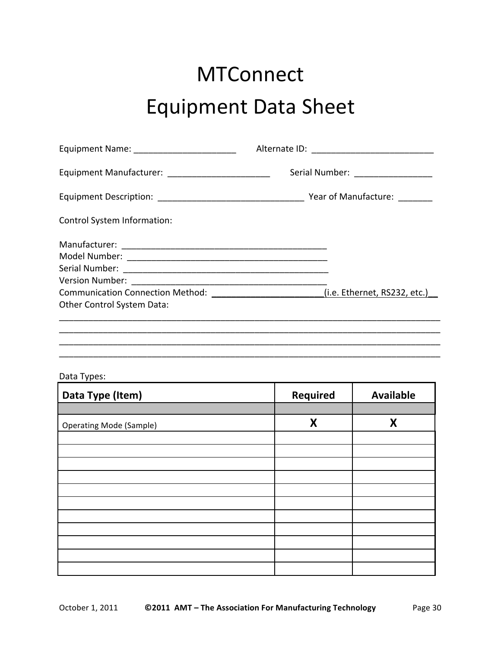## **MTConnect** Equipment Data Sheet

| Equipment Name: _________________________      |                                                                                       |
|------------------------------------------------|---------------------------------------------------------------------------------------|
| Equipment Manufacturer: ______________________ | Serial Number: __________________                                                     |
|                                                |                                                                                       |
| Control System Information:                    |                                                                                       |
|                                                |                                                                                       |
| Other Control System Data:                     | Communication Connection Method: ________________________(i.e. Ethernet, RS232, etc.) |
|                                                |                                                                                       |
|                                                |                                                                                       |

#### Data Types:

| Data Type (Item)               | <b>Required</b> | <b>Available</b> |
|--------------------------------|-----------------|------------------|
|                                |                 |                  |
| <b>Operating Mode (Sample)</b> | X               | X                |
|                                |                 |                  |
|                                |                 |                  |
|                                |                 |                  |
|                                |                 |                  |
|                                |                 |                  |
|                                |                 |                  |
|                                |                 |                  |
|                                |                 |                  |
|                                |                 |                  |
|                                |                 |                  |
|                                |                 |                  |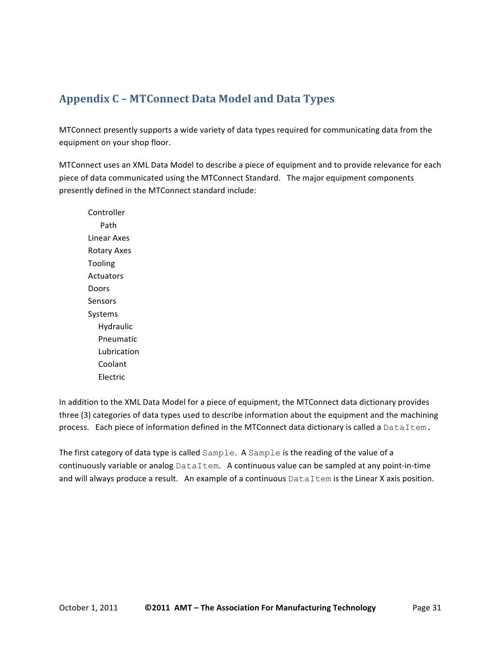## **Appendix\*C – MTConnect\*Data Model\*and\*Data\*Types**

MTConnect presently supports a wide variety of data types required for communicating data from the equipment on your shop floor.

MTConnect uses an XML Data Model to describe a piece of equipment and to provide relevance for each piece of data communicated using the MTConnect Standard. The major equipment components presently defined in the MTConnect standard include:

Controller Path Linear Axes Rotary Axes Tooling Actuators Doors Sensors Systems Hydraulic Pneumatic Lubrication Coolant **Electric** 

In addition to the XML Data Model for a piece of equipment, the MTConnect data dictionary provides three (3) categories of data types used to describe information about the equipment and the machining process. Each piece of information defined in the MTConnect data dictionary is called a DataItem.

The first category of data type is called  $Sample$ . A  $Sample$  is the reading of the value of a continuously variable or analog  $\text{DataItem.}$  A continuous value can be sampled at any point-in-time and will always produce a result. An example of a continuous DataItem is the Linear X axis position.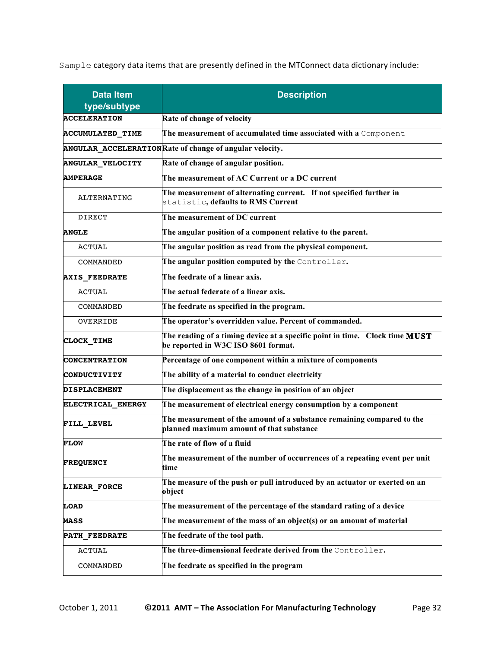Sample category data items that are presently defined in the MTConnect data dictionary include:

| <b>Data Item</b><br>type/subtype | <b>Description</b>                                                                                                 |
|----------------------------------|--------------------------------------------------------------------------------------------------------------------|
| <b>ACCELERATION</b>              | Rate of change of velocity                                                                                         |
| <b>ACCUMULATED TIME</b>          | The measurement of accumulated time associated with a Component                                                    |
|                                  | ANGULAR_ACCELERATIONRate of change of angular velocity.                                                            |
| <b>ANGULAR VELOCITY</b>          | Rate of change of angular position.                                                                                |
| <b>AMPERAGE</b>                  | The measurement of AC Current or a DC current                                                                      |
| ALTERNATING                      | The measurement of alternating current. If not specified further in<br>statistic, defaults to RMS Current          |
| <b>DIRECT</b>                    | The measurement of DC current                                                                                      |
| <b>ANGLE</b>                     | The angular position of a component relative to the parent.                                                        |
| <b>ACTUAL</b>                    | The angular position as read from the physical component.                                                          |
| COMMANDED                        | The angular position computed by the Controller.                                                                   |
| <b>AXIS FEEDRATE</b>             | The feedrate of a linear axis.                                                                                     |
| <b>ACTUAL</b>                    | The actual federate of a linear axis.                                                                              |
| COMMANDED                        | The feedrate as specified in the program.                                                                          |
| OVERRIDE                         | The operator's overridden value. Percent of commanded.                                                             |
| CLOCK TIME                       | The reading of a timing device at a specific point in time. Clock time MUST<br>be reported in W3C ISO 8601 format. |
| <b>CONCENTRATION</b>             | Percentage of one component within a mixture of components                                                         |
| <b>CONDUCTIVITY</b>              | The ability of a material to conduct electricity                                                                   |
| <b>DISPLACEMENT</b>              | The displacement as the change in position of an object                                                            |
| ELECTRICAL ENERGY                | The measurement of electrical energy consumption by a component                                                    |
| FILL LEVEL                       | The measurement of the amount of a substance remaining compared to the<br>planned maximum amount of that substance |
| <b>FLOW</b>                      | The rate of flow of a fluid                                                                                        |
| <b>FREQUENCY</b>                 | The measurement of the number of occurrences of a repeating event per unit<br>time                                 |
| LINEAR FORCE                     | The measure of the push or pull introduced by an actuator or exerted on an<br>object                               |
| <b>LOAD</b>                      | The measurement of the percentage of the standard rating of a device                                               |
| <b>MASS</b>                      | The measurement of the mass of an object(s) or an amount of material                                               |
| <b>PATH FEEDRATE</b>             | The feedrate of the tool path.                                                                                     |
| <b>ACTUAL</b>                    | The three-dimensional feedrate derived from the Controller.                                                        |
| COMMANDED                        | The feedrate as specified in the program                                                                           |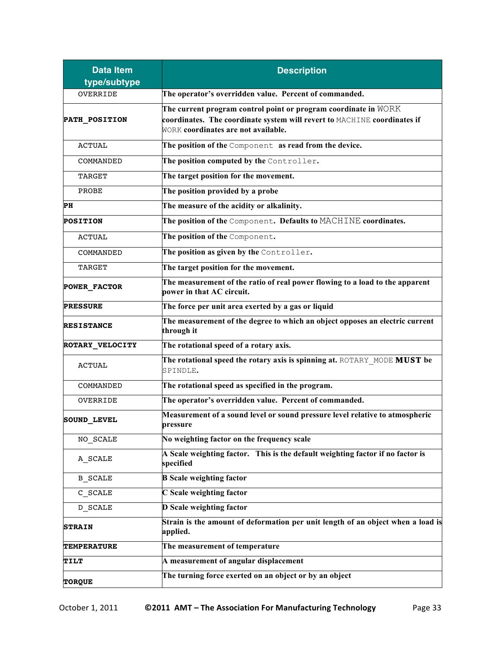| <b>Data Item</b><br>type/subtype | <b>Description</b>                                                                                                                                                                 |
|----------------------------------|------------------------------------------------------------------------------------------------------------------------------------------------------------------------------------|
| <b>OVERRIDE</b>                  | The operator's overridden value. Percent of commanded.                                                                                                                             |
| PATH POSITION                    | The current program control point or program coordinate in WORK<br>coordinates. The coordinate system will revert to MACHINE coordinates if<br>WORK coordinates are not available. |
| <b>ACTUAL</b>                    | The position of the Component as read from the device.                                                                                                                             |
| COMMANDED                        | The position computed by the Controller.                                                                                                                                           |
| <b>TARGET</b>                    | The target position for the movement.                                                                                                                                              |
| PROBE                            | The position provided by a probe                                                                                                                                                   |
| PH                               | The measure of the acidity or alkalinity.                                                                                                                                          |
| <b>POSITION</b>                  | The position of the Component. Defaults to MACHINE coordinates.                                                                                                                    |
| <b>ACTUAL</b>                    | The position of the Component.                                                                                                                                                     |
| COMMANDED                        | The position as given by the Controller.                                                                                                                                           |
| TARGET                           | The target position for the movement.                                                                                                                                              |
| <b>POWER FACTOR</b>              | The measurement of the ratio of real power flowing to a load to the apparent<br>power in that AC circuit.                                                                          |
| <b>PRESSURE</b>                  | The force per unit area exerted by a gas or liquid                                                                                                                                 |
| <b>RESISTANCE</b>                | The measurement of the degree to which an object opposes an electric current<br>through it                                                                                         |
| ROTARY_VELOCITY                  | The rotational speed of a rotary axis.                                                                                                                                             |
| <b>ACTUAL</b>                    | The rotational speed the rotary axis is spinning at. ROTARY MODE MUST be<br>SPINDLE.                                                                                               |
| COMMANDED                        | The rotational speed as specified in the program.                                                                                                                                  |
| OVERRIDE                         | The operator's overridden value. Percent of commanded.                                                                                                                             |
| <b>SOUND LEVEL</b>               | Measurement of a sound level or sound pressure level relative to atmospheric<br>pressure                                                                                           |
| NO SCALE                         | No weighting factor on the frequency scale                                                                                                                                         |
| A_SCALE                          | A Scale weighting factor. This is the default weighting factor if no factor is<br>specified                                                                                        |
| <b>B SCALE</b>                   | <b>B</b> Scale weighting factor                                                                                                                                                    |
| $C$ <sub>_</sub> SCALE           | C Scale weighting factor                                                                                                                                                           |
| D_SCALE                          | D Scale weighting factor                                                                                                                                                           |
| <b>STRAIN</b>                    | Strain is the amount of deformation per unit length of an object when a load is<br>applied.                                                                                        |
| <b>TEMPERATURE</b>               | The measurement of temperature                                                                                                                                                     |
| TILT                             | A measurement of angular displacement                                                                                                                                              |
| <b>TORQUE</b>                    | The turning force exerted on an object or by an object                                                                                                                             |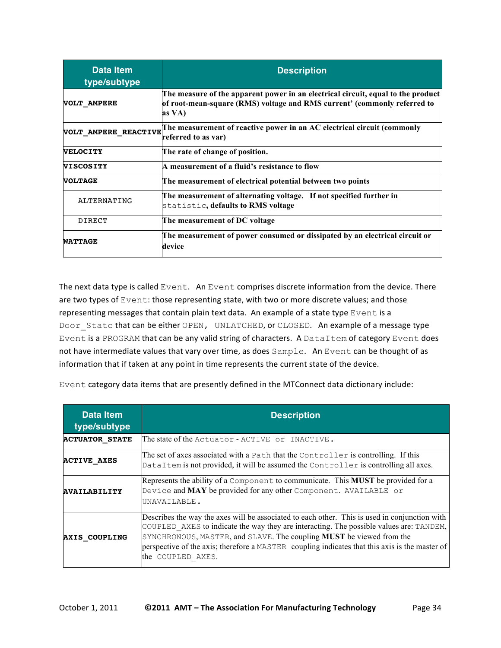| Data Item<br>type/subtype | <b>Description</b>                                                                                                                                                     |
|---------------------------|------------------------------------------------------------------------------------------------------------------------------------------------------------------------|
| <b>VOLT AMPERE</b>        | The measure of the apparent power in an electrical circuit, equal to the product<br>of root-mean-square (RMS) voltage and RMS current' (commonly referred to<br>as VA) |
| VOLT AMPERE REACTIVE      | The measurement of reactive power in an AC electrical circuit (commonly<br>referred to as var)                                                                         |
| <b>VELOCITY</b>           | The rate of change of position.                                                                                                                                        |
| <b>VISCOSITY</b>          | A measurement of a fluid's resistance to flow                                                                                                                          |
| <b>VOLTAGE</b>            | The measurement of electrical potential between two points                                                                                                             |
| ALTERNATING               | The measurement of alternating voltage. If not specified further in<br>statistic, defaults to RMS voltage                                                              |
| <b>DIRECT</b>             | The measurement of DC voltage                                                                                                                                          |
| <b>WATTAGE</b>            | The measurement of power consumed or dissipated by an electrical circuit or<br>device                                                                                  |

The next data type is called Event. An Event comprises discrete information from the device. There are two types of Event: those representing state, with two or more discrete values; and those representing messages that contain plain text data. An example of a state type  $Event$  is a Door State that can be either OPEN, UNLATCHED, or CLOSED. An example of a message type Event is a PROGRAM that can be any valid string of characters. A DataItem of category Event does not have intermediate values that vary over time, as does Sample. An Event can be thought of as information that if taken at any point in time represents the current state of the device.

Event category data items that are presently defined in the MTConnect data dictionary include:

| <b>Data Item</b><br>type/subtype | <b>Description</b>                                                                                                                                                                                                                                                                                                                                                                             |
|----------------------------------|------------------------------------------------------------------------------------------------------------------------------------------------------------------------------------------------------------------------------------------------------------------------------------------------------------------------------------------------------------------------------------------------|
| <b>ACTUATOR STATE</b>            | The state of the Actuator - ACTIVE or INACTIVE.                                                                                                                                                                                                                                                                                                                                                |
| <b>ACTIVE AXES</b>               | The set of axes associated with a Path that the Controller is controlling. If this<br>DataItem is not provided, it will be assumed the Controller is controlling all axes.                                                                                                                                                                                                                     |
| <b>AVAILABILITY</b>              | Represents the ability of a Component to communicate. This MUST be provided for a<br>Device and MAY be provided for any other Component. AVAILABLE or<br>UNAVAILABLE.                                                                                                                                                                                                                          |
| <b>AXIS COUPLING</b>             | Describes the way the axes will be associated to each other. This is used in conjunction with<br>COUPLED AXES to indicate the way they are interacting. The possible values are: TANDEM,<br>SYNCHRONOUS, MASTER, and SLAVE. The coupling <b>MUST</b> be viewed from the<br>perspective of the axis; therefore a MASTER coupling indicates that this axis is the master of<br>the COUPLED AXES. |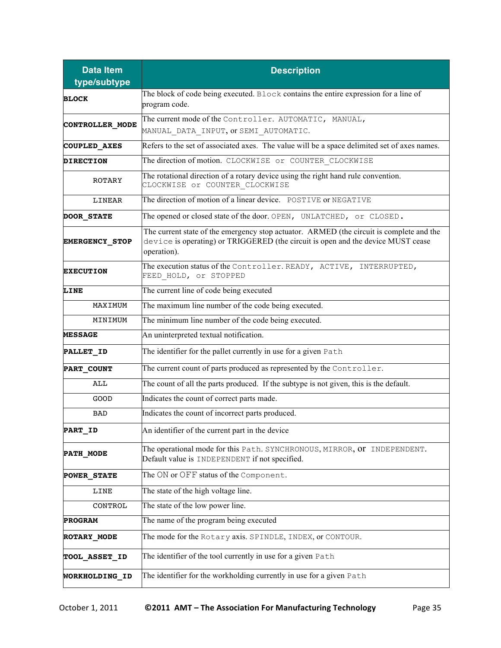| <b>Data Item</b><br>type/subtype | <b>Description</b>                                                                                                                                                                          |
|----------------------------------|---------------------------------------------------------------------------------------------------------------------------------------------------------------------------------------------|
| <b>BLOCK</b>                     | The block of code being executed. Block contains the entire expression for a line of<br>program code.                                                                                       |
| CONTROLLER MODE                  | The current mode of the Controller. AUTOMATIC, MANUAL,<br>MANUAL DATA INPUT, or SEMI AUTOMATIC.                                                                                             |
| COUPLED AXES                     | Refers to the set of associated axes. The value will be a space delimited set of axes names.                                                                                                |
| <b>DIRECTION</b>                 | The direction of motion. CLOCKWISE or COUNTER CLOCKWISE                                                                                                                                     |
| <b>ROTARY</b>                    | The rotational direction of a rotary device using the right hand rule convention.<br>CLOCKWISE Or COUNTER CLOCKWISE                                                                         |
| LINEAR                           | The direction of motion of a linear device. POSTIVE or NEGATIVE                                                                                                                             |
| <b>DOOR STATE</b>                | The opened or closed state of the door. OPEN, UNLATCHED, or CLOSED.                                                                                                                         |
| <b>EMERGENCY STOP</b>            | The current state of the emergency stop actuator. ARMED (the circuit is complete and the<br>device is operating) or TRIGGERED (the circuit is open and the device MUST cease<br>operation). |
| <b>EXECUTION</b>                 | The execution status of the Controller. READY, ACTIVE, INTERRUPTED,<br>FEED HOLD, Or STOPPED                                                                                                |
| LINE                             | The current line of code being executed                                                                                                                                                     |
| MAXIMUM                          | The maximum line number of the code being executed.                                                                                                                                         |
| MINIMUM                          | The minimum line number of the code being executed.                                                                                                                                         |
| <b>MESSAGE</b>                   | An uninterpreted textual notification.                                                                                                                                                      |
| PALLET_ID                        | The identifier for the pallet currently in use for a given Path                                                                                                                             |
| PART COUNT                       | The current count of parts produced as represented by the Controller.                                                                                                                       |
| ALL                              | The count of all the parts produced. If the subtype is not given, this is the default.                                                                                                      |
| GOOD                             | Indicates the count of correct parts made.                                                                                                                                                  |
| <b>BAD</b>                       | Indicates the count of incorrect parts produced.                                                                                                                                            |
| PART_ID                          | An identifier of the current part in the device                                                                                                                                             |
| <b>PATH MODE</b>                 | The operational mode for this Path. SYNCHRONOUS, MIRROR, OF INDEPENDENT.<br>Default value is INDEPENDENT if not specified.                                                                  |
| <b>POWER STATE</b>               | The ON or OFF status of the Component.                                                                                                                                                      |
| LINE                             | The state of the high voltage line.                                                                                                                                                         |
| CONTROL                          | The state of the low power line.                                                                                                                                                            |
| <b>PROGRAM</b>                   | The name of the program being executed                                                                                                                                                      |
| <b>ROTARY MODE</b>               | The mode for the Rotary axis. SPINDLE, INDEX, or CONTOUR.                                                                                                                                   |
| <b>TOOL_ASSET_ID</b>             | The identifier of the tool currently in use for a given Path                                                                                                                                |
| <b>WORKHOLDING_ID</b>            | The identifier for the workholding currently in use for a given Path                                                                                                                        |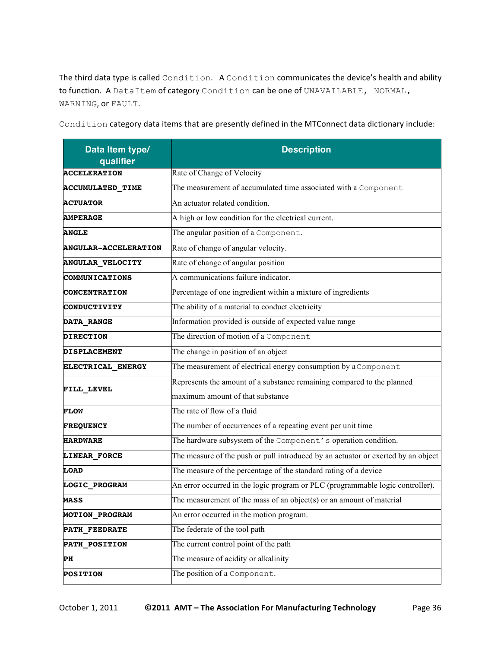The third data type is called Condition. A Condition communicates the device's health and ability to function. A DataItem of category Condition can be one of UNAVAILABLE, NORMAL, WARNING, or FAULT.

| Data Item type/<br>qualifier | <b>Description</b>                                                                |
|------------------------------|-----------------------------------------------------------------------------------|
| <b>ACCELERATION</b>          | Rate of Change of Velocity                                                        |
| ACCUMULATED_TIME             | The measurement of accumulated time associated with a Component                   |
| <b>ACTUATOR</b>              | An actuator related condition.                                                    |
| <b>AMPERAGE</b>              | A high or low condition for the electrical current.                               |
| <b>ANGLE</b>                 | The angular position of a Component.                                              |
| <b>ANGULAR-ACCELERATION</b>  | Rate of change of angular velocity.                                               |
| ANGULAR_VELOCITY             | Rate of change of angular position                                                |
| COMMUNICATIONS               | A communications failure indicator.                                               |
| <b>CONCENTRATION</b>         | Percentage of one ingredient within a mixture of ingredients                      |
| CONDUCTIVITY                 | The ability of a material to conduct electricity                                  |
| <b>DATA_RANGE</b>            | Information provided is outside of expected value range                           |
| <b>DIRECTION</b>             | The direction of motion of a Component                                            |
| <b>DISPLACEMENT</b>          | The change in position of an object                                               |
| ELECTRICAL ENERGY            | The measurement of electrical energy consumption by a Component                   |
| FILL_LEVEL                   | Represents the amount of a substance remaining compared to the planned            |
|                              | maximum amount of that substance                                                  |
| <b>FLOW</b>                  | The rate of flow of a fluid                                                       |
| <b>FREQUENCY</b>             | The number of occurrences of a repeating event per unit time                      |
| <b>HARDWARE</b>              | The hardware subsystem of the Component's operation condition.                    |
| LINEAR_FORCE                 | The measure of the push or pull introduced by an actuator or exerted by an object |
| <b>LOAD</b>                  | The measure of the percentage of the standard rating of a device                  |
| LOGIC_PROGRAM                | An error occurred in the logic program or PLC (programmable logic controller).    |
| <b>MASS</b>                  | The measurement of the mass of an object(s) or an amount of material              |
| MOTION PROGRAM               | An error occurred in the motion program.                                          |
| PATH_FEEDRATE                | The federate of the tool path                                                     |
| <b>PATH_POSITION</b>         | The current control point of the path                                             |
| PH                           | The measure of acidity or alkalinity                                              |
| <b>POSITION</b>              | The position of a Component.                                                      |

Condition category data items that are presently defined in the MTConnect data dictionary include: